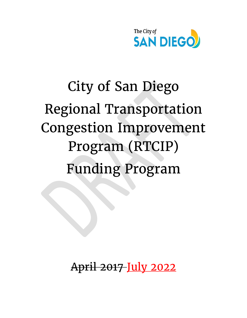

# City of San Diego Regional Transportation Congestion Improvement Program (RTCIP) Funding Program

April 2017 July 2022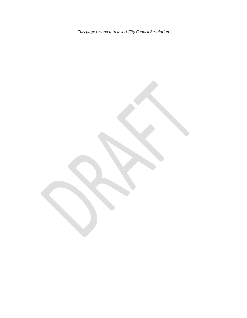*This page reserved to insert City Council Resolution*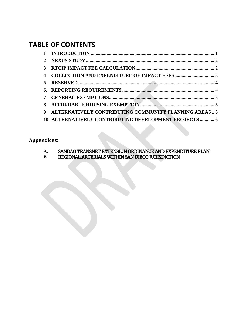# **TABLE OF CONTENTS**

| 9 ALTERNATIVELY CONTRIBUTING COMMUNITY PLANNING AREAS5 |
|--------------------------------------------------------|
| 10 ALTERNATIVELY CONTRIBUTING DEVELOPMENT PROJECTS  6  |

**Appendices:**

- A. SANDAG TRANSNET EXTENSION ORDINANCE AND EXPENDITURE PLAN<br>B. REGIONAL ARTERIALS WITHIN SAN DIEGO JURISDICTION
- **B.** REGIONAL ARTERIALS WITHIN SAN DIEGO JURISDICTION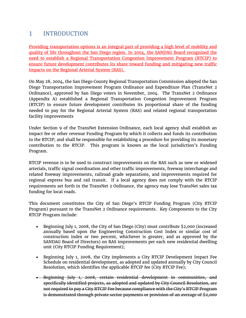# <span id="page-3-0"></span>1 INTRODUCTION

Providing transportation options is an integral part of providing a high level of mobility and quality of life throughout the San Diego region. In 2004, the SANDAG Board recognized the need to establish a Regional Transportation Congestion Improvement Program (RTCIP) to ensure future development contributes its share toward funding and mitigating new traffic impacts on the Regional Arterial System (RAS).

On May 28, 2004, the San Diego County Regional Transportation Commission adopted the San Diego Transportation Improvement Program Ordinance and Expenditure Plan (TransNet 2 Ordinance), approved by San Diego voters in November, 2004. The TransNet 2 Ordinance (Appendix A) established a Regional Transportation Congestion Improvement Program (RTCIP) to ensure future development contributes its proportional share of the funding needed to pay for the Regional Arterial System (RAS) and related regional transportation facility improvements

Under Section 9 of the TransNet Extension Ordinance, each local agency shall establish an impact fee or other revenue Funding Program by which it collects and funds its contribution to the RTCIP; and shall be responsible for establishing a procedure for providing its monetary contribution to the RTCIP. This program is known as the local jurisdiction's Funding Program.

RTCIP revenue is to be used to construct improvements on the RAS such as new or widened arterials, traffic signal coordination and other traffic improvements, freeway interchange and related freeway improvements, railroad grade separations, and improvements required for regional express bus and rail transit. If a local agency does not comply with the RTCIP requirements set forth in the TransNet 2 Ordinance, the agency may lose TransNet sales tax funding for local roads.

This document constitutes the City of San Diego's RTCIP Funding Program (City RTCIP Program) pursuant to the TransNet 2 Ordinance requirements. Key Components to the City RTCIP Program include:

- Beginning July 1, 2008, the City of San Diego (City) must contribute \$2,000 (increased annually based upon the Engineering Construction Cost Index or similar cost of construction index or two percent, whichever is greater, and as approved by the SANDAG Board of Directors) on RAS improvements per each new residential dwelling unit (City RTCIP Funding Requirement);
- Beginning July 1, 2008, the City implements a City RTCIP Development Impact Fee Schedule on residential development, as adopted and updated annually by City Council Resolution, which identifies the applicable RTCIP fee (City RTCIP Fee);
- Beginning July 1, 2008, certain residential development in communities, and specifically identified projects, as adopted and updated by City Council Resolution, are not required to pay a City RTCIP Fee because compliance with the City's RTCIP Program is demonstrated through private sector payments or provision of an average of \$2,000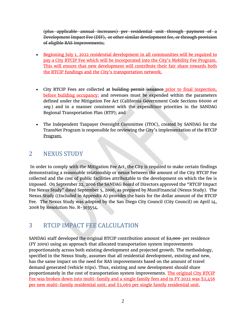(plus applicable annual increases) per residential unit through payment of a Development Impact Fee (DIF), or other similar development fee, or through provision of eligible RAS improvements;

- Beginning July 1, 2022 residential development in all communities will be required to pay a City RTCIP Fee which will be incorporated into the City's Mobility Fee Program. This will ensure that new development will contribute their fair share towards both the RTCIP fundings and the City's transportation network.
- City RTCIP Fees are collected at building permit issuance prior to final inspection, before building occupancy; and revenues must be expended within the parameters defined under the Mitigation Fee Act (California Government Code Sections 66000 et seq.) and in a manner consistent with the expenditure priorities in the SANDAG Regional Transportation Plan (RTP); and
- The Independent Taxpayer Oversight Committee (ITOC), created by SANDAG for the TransNet Program is responsible for reviewing the City's implementation of the RTCIP Program.

## <span id="page-4-0"></span>2 NEXUS STUDY

In order to comply with the Mitigation Fee Act, the City is required to make certain findings demonstrating a reasonable relationship or nexus between the amount of the City RTCIP Fee collected and the cost of public facilities attributable to the development on which the fee is imposed. On September 22, 2006 the SANDAG Board of Directors approved the "RTCIP Impact Fee Nexus Study" dated September 5, 2006, as prepared by MuniFinancial (Nexus Study). The Nexus Study ((Included in Appendix A) provides the basis for the dollar amount of the RTCIP Fee. The Nexus Study was adopted by the San Diego City Council (City Council) on April 14, 2008 by Resolution No. R-303554.

## <span id="page-4-1"></span>3 RTCIP IMPACT FEE CALCULATION

SANDAG staff developed the original RTCIP contribution amount of  $\frac{2}{32,000}$  per residence (FY 2009) using an approach that allocated transportation system improvements proportionately across both existing development and projected growth. The methodology, specified in the Nexus Study, assumes that all residential development, existing and new, has the same impact on the need for RAS improvements based on the amount of travel demand generated (vehicle trips). Thus, existing and new development should share proportionately in the cost of transportation system improvements. The original City RTCIP Fee was broken down into multi-family and a single family fees and in FY 2022 was \$2,456 per new multi-family residential unit; and \$3,069 per single family residential unit.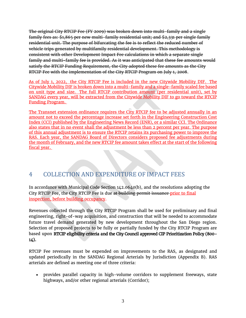The original City RTCIP Fee (FY 2009) was broken down into multi-family and a single family fees as: \$1,865 per new multi-family residential unit; and \$2,331 per single family residential unit. The purpose of bifurcating the fee is to reflect the reduced number of vehicle trips generated by multifamily residential development. This methodology is consistent with other Development Impact Fee calculations in which a separate single family and multi-family fee is provided. As it was anticipated that these fee amounts would satisfy the RTCIP Funding Requirement, the City adopted these fee amounts as the City RTCIP Fee with the implementation of the City RTCIP Program on July 1, 2008.

<span id="page-5-0"></span>As of July 1, 2022, the City RTCIP Fee is included in the new Citywide Mobility DIF. The Citywide Mobility DIF is broken down into a multi-family and a single-family scaled fee based on unit type and size. The full RTCIP contribution amount (per residential unit), set by SANDAG every year, will be extracted from the Citywide Mobility DIF to go toward the RTCIP Funding Program.

The Transnet extension ordinance requires the City RTCIP fee to be adjusted annually in an amount not to exceed the percentage increase set forth in the Engineering Construction Cost Index (CCI) published by the Engineering News Record (ENR), or a similar CCI. The Ordinance also states that in no event shall the adjustment be less than 2 percent per year. The purpose of this annual adjustment is to ensure the RTCIP retains its purchasing power to improve the RAS. Each year, the SANDAG Board of Directors considers proposed fee adjustments during the month of February, and the new RTCIP fee amount takes effect at the start of the following fiscal year.

# 4 COLLECTION AND EXPENDITURE OF IMPACT FEES

In accordance with Municipal Code Section 142.0640(b), and the resolutions adopting the City RTCIP Fee, the City RTCIP Fee is due at building permit issuance prior to final inspection, before building occupancy.

Revenues collected through the City RTCIP Program shall be used for preliminary and final engineering, right-of-way acquisition, and construction that will be needed to accommodate future travel demand generated by new development throughout the San Diego region. Selection of proposed projects to be fully or partially funded by the City RTCIP Program are based upon RTCIP eligibility criteria and the City Council approved CIP Prioritization Policy (800-14).

RTCIP Fee revenues must be expended on improvements to the RAS, as designated and updated periodically in the SANDAG Regional Arterials by Jurisdiction (Appendix B). RAS arterials are defined as meeting one of three criteria:

• provides parallel capacity in high-volume corridors to supplement freeways, state highways, and/or other regional arterials (Corridor);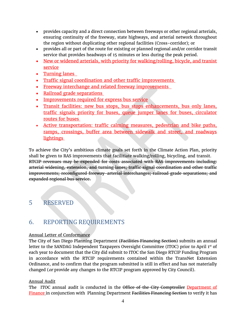- provides capacity and a direct connection between freeways or other regional arterials, ensuring continuity of the freeway, state highways, and arterial network throughout the region without duplicating other regional facilities (Cross-corridor); or
- provides all or part of the route for existing or planned regional and/or corridor transit service that provides headways of 15 minutes or less during the peak period.
- New or widened arterials, with priority for walking/rolling, bicycle, and tranist service
- Turning lanes
- Traffic signal coordination and other traffic improvements
- Freeway interchange and related freeway improvements
- Railroad grade separations
- Improvements required for express bus service
- Transit facilities: new bus stops, bus stops enhancements, bus only lanes, traffic signals priority for buses, queue jumper lanes for buses, circulator routes for buses
- Active transportation: traffic calming measures, pedestrian and bike paths, ramps, crossings, buffer area between sidewalk and street, and roadways lightings

To achieve the City's ambitious climate goals set forth in the Climate Action Plan, priority shall be given to RAS improvements that facilitiate walking/rolling, bicycling, and transit. RTCIP revenues may be expended for costs associated with RAS improvements including: arterial widening, extension, and turning lanes; traffic signal coordination and other traffic improvements; reconfigured freeway-arterial interchanges; railroad grade separations; and expanded regional bus service.

### <span id="page-6-0"></span>5 RESERVED

## <span id="page-6-1"></span>6. REPORTING REQUIREMENTS

#### Annual Letter of Conformance

The City of San Diego Planning Department (Facilities Financing Section) submits an annual letter to the SANDAG Independent Taxpayers Oversight Committee (ITOC) prior to April 1<sup>st</sup> of each year to document that the City did submit to ITOC the San Diego RTCIP Funding Program in accordance with the RTCIP requirements contained within the TransNet Extension Ordinance, and to confirm that the program submitted is still in effect and has not materially changed (or provide any changes to the RTCIP program approved by City Council).

#### Annual Audit

The ITOC annual audit is conducted in the Office of the City Comptroller Department of Finance in conjunction with Planning Department Facilities Financing Section to verify it has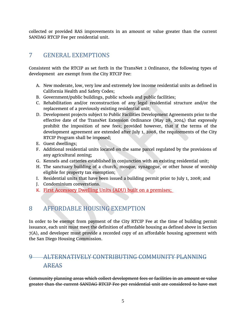collected or provided RAS improvements in an amount or value greater than the current SANDAG RTCIP Fee per residential unit.

# <span id="page-7-0"></span>7 GENERAL EXEMPTIONS

Consistent with the RTCIP as set forth in the TransNet 2 Ordinance, the following types of development are exempt from the City RTCIP Fee:

- A. New moderate, low, very low and extremely low income residential units as defined in California Health and Safety Codes;
- B. Government/public buildings, public schools and public facilities;
- C. Rehabilitation and/or reconstruction of any legal residential structure and/or the replacement of a previously existing residential unit;
- D. Development projects subject to Public Facilities Development Agreements prior to the effective date of the TransNet Extension Ordinance (May 28, 2004) that expressly prohibit the imposition of new fees; provided however, that if the terms of the development agreement are extended after July 1, 2008, the requirements of the City RTCIP Program shall be imposed;
- E. Guest dwellings;
- F. Additional residential units located on the same parcel regulated by the provisions of any agricultural zoning;
- G. Kennels and catteries established in conjunction with an existing residential unit;
- H. The sanctuary building of a church, mosque, synagogue, or other house of worship eligible for property tax exemption;
- I. Residential units that have been issued a building permit prior to July 1, 2008; and
- J. Condominium converstions.
- K. First Accessory Dwelling Units (ADU) built on a premises;

## <span id="page-7-1"></span>8 AFFORDABLE HOUSING EXEMPTION

In order to be exempt from payment of the City RTCIP Fee at the time of building permit issuance, each unit must meet the definition of affordable housing as defined above in Section 7(A), and developer must provide a recorded copy of an affordable housing agreement with the San Diego Housing Commission.

# <span id="page-7-2"></span>9 ALTERNATIVELY CONTRIBUTING COMMUNITY PLANNING AREAS

Community planning areas which collect development fees or facilities in an amount or value greater than the current SANDAG RTCIP Fee per residential unit are considered to have met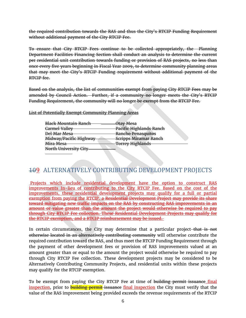the required contribution towards the RAS and thus the City's RTCIP Funding Requirement without additional payment of the City RTCIP Fee.

To ensure that City RTCIP Fees continue to be collected appropriately, the Planning Department Facilities Financing Section shall conduct an analysis to determine the current per residential unit contribution towards funding or provision of RAS projects, no less than once every five years beginning in Fiscal Year 2009, to determine community planning areas that may meet the City's RTCIP Funding requirement without additional payment of the RTCIP fee.

Based on the analysis, the list of communities exempt from paying City RTCIP Fees may be amended by Council Action. Further, if a community no longer meets the City's RTCIP Funding Requirement, the community will no longer be exempt from the RTCIP Fee.

**List of Potentially Exempt Community Planning Areas** 

<span id="page-8-0"></span>

| <b>Black Mountain Ranch</b> | Otay Mesa                      |
|-----------------------------|--------------------------------|
| Carmel Valley               | <b>Pacific Highlands Ranch</b> |
| <del>Del Mar Mesa</del>     | Rancho Penasquitos             |
| Midway/Pacific Highway      | <b>Scripps Miramar Ranch</b>   |
| <del>Mira Mesa</del>        | <b>Torrey Highlands</b>        |
|                             |                                |
| North University City       |                                |
|                             |                                |

# 109 ALTERNATIVELY CONTRIBUTING DEVELOPMENT PROJECTS

Projects which include residential development have the option to construct RAS improvements In-lieu of contributing to the City RTCIP Fee. Based on the cost of the improvements, these residential development projects may qualify for a full or partial exemption from paying the RTCIP. a Residential Development Project may provide its share toward mitigating new traffic impacts on the RAS by constructing RAS improvements in an amount or value greater than the amount the project would otherwise be required to pay through City RTCIP Fee collection. These Residential Development Projects may qualify for the RTCIP exemption, and a RTCIP reimbursement may be issued.

In certain circumstances, the City may determine that a particular project–that is not otherwise located in an alternatively contributing community will otherwise contribute the required contribution toward the RAS, and thus meet the RTCIP Funding Requirement through the payment of other development fees or provision of RAS improvements valued at an amount greater than or equal to the amount the project would otherwise be required to pay through City RTCIP Fee collection. These development projects may be considered to be Alternatively Contributing Community Projects, and residential units within these projects may qualify for the RTCIP exemption.

To be exempt from paying the City RTCIP Fee at time of building permit issuance final inspection, prior to **building permit** issuance final inspection the City must verify that the value of the RAS improvement being provided exceeds the revenue requirements of the RTCIP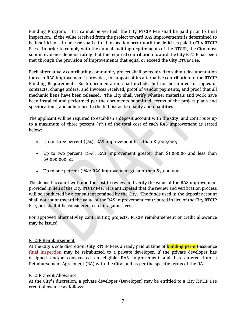Funding Program. If it cannot be verified, the City RTCIP Fee shall be paid prior to final inspection. If the value received from the project toward RAS improvements is determined to be insufficient , in no case shall a final inspection occur until the deficit is paid in City RTCIP Fees. In order to comply with the annual auditing requirements of the RTCIP, the City must submit evidence demonstrating that the required contribution toward the City RTCIP has been met through the provision of improvements that equal or exceed the City RTCIP Fee.

Each alternatively contributing community project shall be required to submit documentation for each RAS improvement it provides, in support of its alternative contribution to the RTCIP Funding Requirement. Such documentation shall include, but not be limited to, copies of contracts, change orders, and invoices received, proof of vendor payments, and proof that all mechanic liens have been released. The City shall verify whether materials and work have been installed and performed per the documents submitted, terms of the project plans and specifications, and adherence to the bid list as to quality and quantities.

The applicant will be required to establish a deposit account with the City, and contribute up to a maximum of three percent (3%) of the total cost of each RAS improvement as stated below:

- Up to three percent (3%): RAS improvement less than \$1,000,000;
- Up to two percent (2%): RAS improvement greater than \$1,000,00 and less than \$5,000,000; or
- Up to one percent (1%): RAS improvement greater than \$5,000,000.

The deposit account will fund the cost to review and verify the value of the RAS improvement provided in lieu of the City RTCIP Fee. It is anticipated that the review and verification process will be conducted by a consultant retained by the City. The funds used in the deposit account shall not count toward the value of the RAS improvement contributed in lieu of the City RTCIP Fee, nor shall it be considered a credit against fees.

For approved alternativley contributing projects, RTCIP reimbursement or credit allowance may be issued.

#### RTCIP Reimbursement

At the City's sole discretion, City RTCIP Fees already paid at time of **building permit issuance** final inspection may be reimbursed to a private developer, if the private developer has designed and/or constructed an eligible RAS improvement and has entered into a Reimbursement Agreement (RA) with the City, and as per the specific terms of the RA.

#### RTCIP Credit Allowance

At the City's discretion, a private developer (Developer) may be entitled to a City RTCIP Fee credit allowance as follows: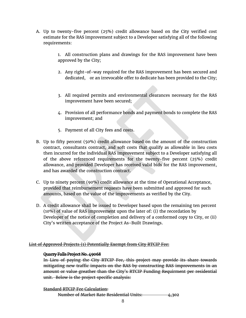A. Up to twenty-five percent (25%) credit allowance based on the City verified cost estimate for the RAS improvement subject to a Developer satisfying all of the following requirements:

> 1. All construction plans and drawings for the RAS improvement have been approved by the City;

- 2. Any right-of-way required for the RAS improvement has been secured and dedicated, or an irrevocable offer to dedicate has been provided to the City;
- 3. All required permits and environmental clearances necessary for the RAS improvement have been secured;
- 4. Provision of all performance bonds and payment bonds to complete the RAS improvement; and
- 5. Payment of all City fees and costs.
- B. Up to fifty percent (50%) credit allowance based on the amount of the construction contract, consultants contract, and soft costs that qualify as allowable in lieu costs then incurred for the individual RAS improvement subject to a Developer satisfying all of the above referenced requirements for the twenty-five percent (25%) credit allowance, and provided Developer has received valid bids for the RAS improvement, and has awarded the construction contract.
- C. Up to ninety percent (90%) credit allowance at the time of Operational Acceptance, provided that reimbursement requests have been submitted and approved for such amounts, based on the value of the improvements as verified by the City.
- D. A credit allowance shall be issued to Developer based upon the remaining ten percent (10%) of value of RAS improvement upon the later of: (i) the recordation by Developer of the notice of completion and delivery of a conformed copy to City, or (ii) City's written acceptance of the Project As-Built Drawings.

#### List of Approved Projects (1) Potentially Exempt from City RTCIP Fee:

#### Quarry Falls Project No. 49068

In Lieu of paying the City RTCIP Fee, this project may provide its share towards mitigating new traffic impacts on the RAS by constructing RAS improvements in an amount or value greather than the City's RTCIP Funding Requirment per residential unit. Below is the project specific analysis:

Standard RTCIP Fee Calculation:

Number of Market Rate Residential Units: 4,302